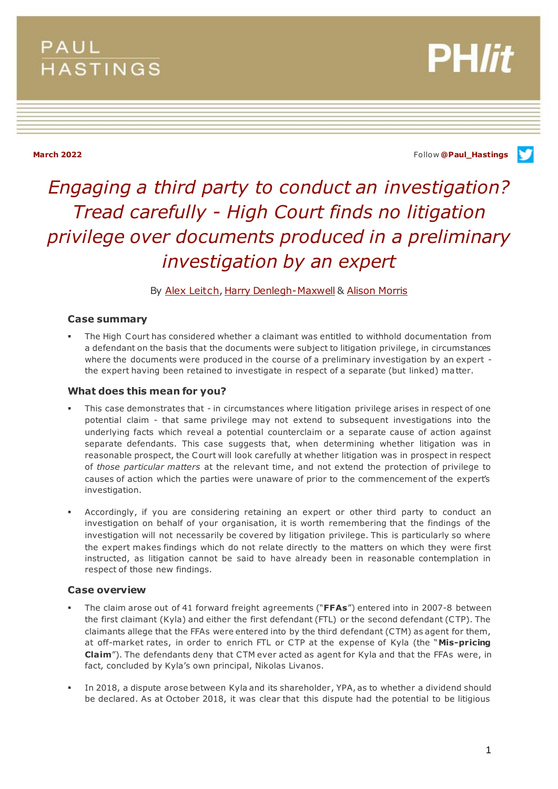## PAUL **HASTINGS**

**PH/it** 

**March 2022** Follow **[@Paul\\_Hastings](http://twitter.com/Paul_Hastings)**

# *Engaging a third party to conduct an investigation? Tread carefully - High Court finds no litigation privilege over documents produced in a preliminary investigation by an expert*

## By [Alex Leitch](https://www.paulhastings.com/professionals/alexleitch)[, Harry Denlegh-Maxwell](https://www.paulhastings.com/professionals/harrydenlegh-maxwell) & [Alison Morris](https://www.paulhastings.com/professionals/details/alisonmorris)

## **Case summary**

 The High Court has considered whether a claimant was entitled to withhold documentation from a defendant on the basis that the documents were subject to litigation privilege, in circumstances where the documents were produced in the course of a preliminary investigation by an expert the expert having been retained to investigate in respect of a separate (but linked) matter.

### **What does this mean for you?**

- This case demonstrates that in circumstances where litigation privilege arises in respect of one potential claim - that same privilege may not extend to subsequent investigations into the underlying facts which reveal a potential counterclaim or a separate cause of action against separate defendants. This case suggests that, when determining whether litigation was in reasonable prospect, the Court will look carefully at whether litigation was in prospect in respect of *those particular matters* at the relevant time, and not extend the protection of privilege to causes of action which the parties were unaware of prior to the commencement of the expert's investigation.
- Accordingly, if you are considering retaining an expert or other third party to conduct an investigation on behalf of your organisation, it is worth remembering that the findings of the investigation will not necessarily be covered by litigation privilege. This is particularly so where the expert makes findings which do not relate directly to the matters on which they were first instructed, as litigation cannot be said to have already been in reasonable contemplation in respect of those new findings.

## **Case overview**

- The claim arose out of 41 forward freight agreements ("**FFAs**") entered into in 2007-8 between the first claimant (Kyla) and either the first defendant (FTL) or the second defendant (CTP). The claimants allege that the FFAs were entered into by the third defendant (CTM) as agent for them, at off-market rates, in order to enrich FTL or CTP at the expense of Kyla (the "**Mis-pricing Claim**"). The defendants deny that CTM ever acted as agent for Kyla and that the FFAs were, in fact, concluded by Kyla's own principal, Nikolas Livanos.
- In 2018, a dispute arose between Kyla and its shareholder, YPA, as to whether a dividend should be declared. As at October 2018, it was clear that this dispute had the potential to be litigious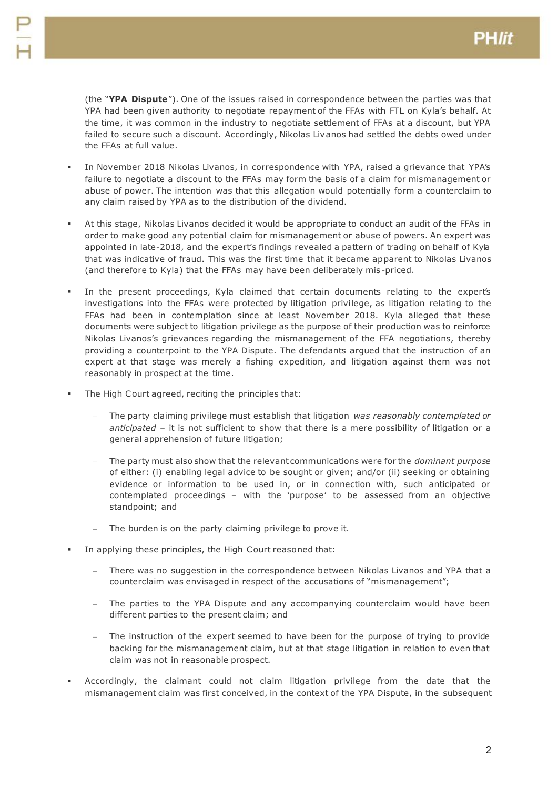(the "**YPA Dispute**"). One of the issues raised in correspondence between the parties was that YPA had been given authority to negotiate repayment of the FFAs with FTL on Kyla's behalf. At the time, it was common in the industry to negotiate settlement of FFAs at a discount, but YPA failed to secure such a discount. Accordingly, Nikolas Livanos had settled the debts owed under the FFAs at full value.

- In November 2018 Nikolas Livanos, in correspondence with YPA, raised a grievance that YPA's failure to negotiate a discount to the FFAs may form the basis of a claim for mismanagement or abuse of power. The intention was that this allegation would potentially form a counterclaim to any claim raised by YPA as to the distribution of the dividend.
- At this stage, Nikolas Livanos decided it would be appropriate to conduct an audit of the FFAs in order to make good any potential claim for mismanagement or abuse of powers. An expert was appointed in late-2018, and the expert's findings revealed a pattern of trading on behalf of Kyla that was indicative of fraud. This was the first time that it became apparent to Nikolas Livanos (and therefore to Kyla) that the FFAs may have been deliberately mis-priced.
- In the present proceedings, Kyla claimed that certain documents relating to the expert's investigations into the FFAs were protected by litigation privilege, as litigation relating to the FFAs had been in contemplation since at least November 2018. Kyla alleged that these documents were subject to litigation privilege as the purpose of their production was to reinforce Nikolas Livanos's grievances regarding the mismanagement of the FFA negotiations, thereby providing a counterpoint to the YPA Dispute. The defendants argued that the instruction of an expert at that stage was merely a fishing expedition, and litigation against them was not reasonably in prospect at the time.
- The High Court agreed, reciting the principles that:
	- The party claiming privilege must establish that litigation *was reasonably contemplated or anticipated* – it is not sufficient to show that there is a mere possibility of litigation or a general apprehension of future litigation;
	- The party must also show that the relevant communications were for the *dominant purpose*  of either: (i) enabling legal advice to be sought or given; and/or (ii) seeking or obtaining evidence or information to be used in, or in connection with, such anticipated or contemplated proceedings – with the 'purpose' to be assessed from an objective standpoint; and
	- The burden is on the party claiming privilege to prove it.
- In applying these principles, the High Court reasoned that:
	- There was no suggestion in the correspondence between Nikolas Livanos and YPA that a counterclaim was envisaged in respect of the accusations of "mismanagement";
	- The parties to the YPA Dispute and any accompanying counterclaim would have been different parties to the present claim; and
	- The instruction of the expert seemed to have been for the purpose of trying to provide backing for the mismanagement claim, but at that stage litigation in relation to even that claim was not in reasonable prospect.
- Accordingly, the claimant could not claim litigation privilege from the date that the mismanagement claim was first conceived, in the context of the YPA Dispute, in the subsequent